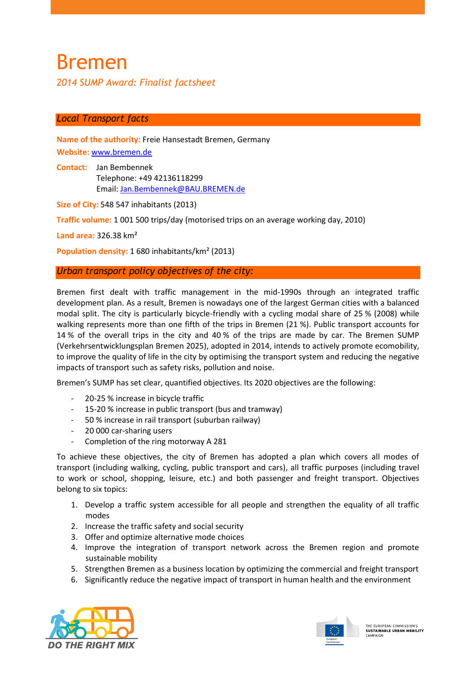# Bremen

*2014 SUMP Award: Finalist factsheet*

# *Local Transport facts*

**Name of the authority:** Freie Hansestadt Bremen, Germany **Website:** [www.bremen.de](http://www.bremen.de/)

**Contact:** Jan Bembennek Telephone: +49 42136118299 Email: Jan.Bembennek@BAU.BREMEN.de

**Size of City:** 548 547 inhabitants (2013)

**Traffic volume:** 1 001 500 trips/day (motorised trips on an average working day, 2010)

**Land area:** 326.38 km²

**Population density:** 1 680 inhabitants/km² (2013)

## *Urban transport policy objectives of the city:*

Bremen first dealt with traffic management in the mid-1990s through an integrated traffic development plan. As a result, Bremen is nowadays one of the largest German cities with a balanced modal split. The city is particularly bicycle-friendly with a cycling modal share of 25 % (2008) while walking represents more than one fifth of the trips in Bremen (21 %). Public transport accounts for 14 % of the overall trips in the city and 40 % of the trips are made by car. The Bremen SUMP (Verkehrsentwicklungsplan Bremen 2025), adopted in 2014, intends to actively promote ecomobility, to improve the quality of life in the city by optimising the transport system and reducing the negative impacts of transport such as safety risks, pollution and noise.

Bremen's SUMP has set clear, quantified objectives. Its 2020 objectives are the following:

- 20-25 % increase in bicycle traffic
- 15-20 % increase in public transport (bus and tramway)
- 50 % increase in rail transport (suburban railway)
- 20 000 car-sharing users
- Completion of the ring motorway A 281

To achieve these objectives, the city of Bremen has adopted a plan which covers all modes of transport (including walking, cycling, public transport and cars), all traffic purposes (including travel to work or school, shopping, leisure, etc.) and both passenger and freight transport. Objectives belong to six topics:

- 1. Develop a traffic system accessible for all people and strengthen the equality of all traffic modes
- 2. Increase the traffic safety and social security
- 3. Offer and optimize alternative mode choices
- 4. Improve the integration of transport network across the Bremen region and promote sustainable mobility
- 5. Strengthen Bremen as a business location by optimizing the commercial and freight transport
- 6. Significantly reduce the negative impact of transport in human health and the environment



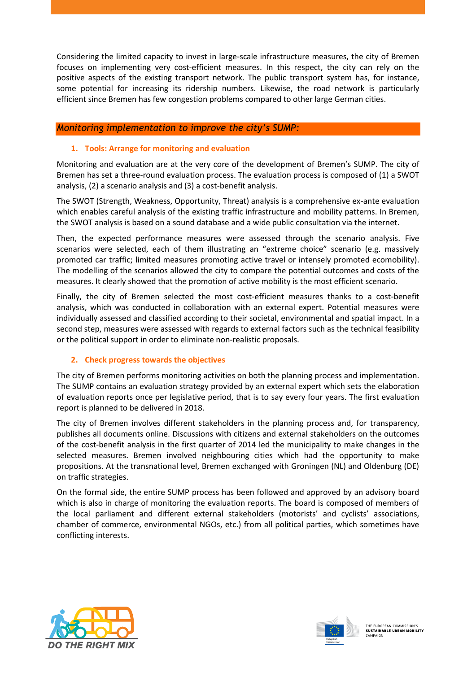Considering the limited capacity to invest in large-scale infrastructure measures, the city of Bremen focuses on implementing very cost-efficient measures. In this respect, the city can rely on the positive aspects of the existing transport network. The public transport system has, for instance, some potential for increasing its ridership numbers. Likewise, the road network is particularly efficient since Bremen has few congestion problems compared to other large German cities.

# *Monitoring implementation to improve the city's SUMP:*

#### **1. Tools: Arrange for monitoring and evaluation**

Monitoring and evaluation are at the very core of the development of Bremen's SUMP. The city of Bremen has set a three-round evaluation process. The evaluation process is composed of (1) a SWOT analysis, (2) a scenario analysis and (3) a cost-benefit analysis.

The SWOT (Strength, Weakness, Opportunity, Threat) analysis is a comprehensive ex-ante evaluation which enables careful analysis of the existing traffic infrastructure and mobility patterns. In Bremen, the SWOT analysis is based on a sound database and a wide public consultation via the internet.

Then, the expected performance measures were assessed through the scenario analysis. Five scenarios were selected, each of them illustrating an "extreme choice" scenario (e.g. massively promoted car traffic; limited measures promoting active travel or intensely promoted ecomobility). The modelling of the scenarios allowed the city to compare the potential outcomes and costs of the measures. It clearly showed that the promotion of active mobility is the most efficient scenario.

Finally, the city of Bremen selected the most cost-efficient measures thanks to a cost-benefit analysis, which was conducted in collaboration with an external expert. Potential measures were individually assessed and classified according to their societal, environmental and spatial impact. In a second step, measures were assessed with regards to external factors such as the technical feasibility or the political support in order to eliminate non-realistic proposals.

## **2. Check progress towards the objectives**

The city of Bremen performs monitoring activities on both the planning process and implementation. The SUMP contains an evaluation strategy provided by an external expert which sets the elaboration of evaluation reports once per legislative period, that is to say every four years. The first evaluation report is planned to be delivered in 2018.

The city of Bremen involves different stakeholders in the planning process and, for transparency, publishes all documents online. Discussions with citizens and external stakeholders on the outcomes of the cost-benefit analysis in the first quarter of 2014 led the municipality to make changes in the selected measures. Bremen involved neighbouring cities which had the opportunity to make propositions. At the transnational level, Bremen exchanged with Groningen (NL) and Oldenburg (DE) on traffic strategies.

On the formal side, the entire SUMP process has been followed and approved by an advisory board which is also in charge of monitoring the evaluation reports. The board is composed of members of the local parliament and different external stakeholders (motorists' and cyclists' associations, chamber of commerce, environmental NGOs, etc.) from all political parties, which sometimes have conflicting interests.



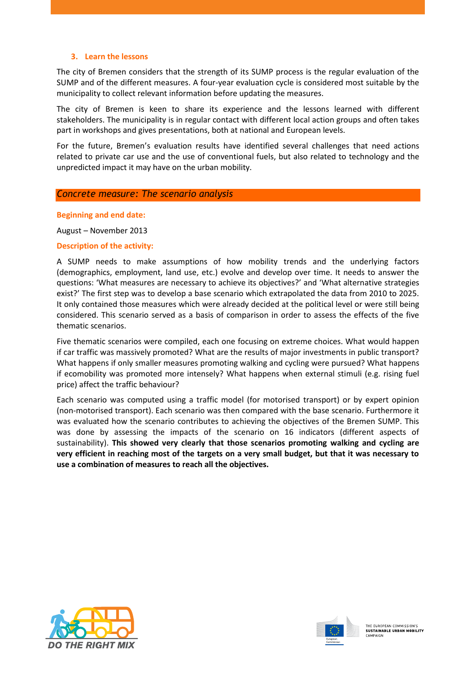#### **3. Learn the lessons**

The city of Bremen considers that the strength of its SUMP process is the regular evaluation of the SUMP and of the different measures. A four-year evaluation cycle is considered most suitable by the municipality to collect relevant information before updating the measures.

The city of Bremen is keen to share its experience and the lessons learned with different stakeholders. The municipality is in regular contact with different local action groups and often takes part in workshops and gives presentations, both at national and European levels.

For the future, Bremen's evaluation results have identified several challenges that need actions related to private car use and the use of conventional fuels, but also related to technology and the unpredicted impact it may have on the urban mobility.

#### *Concrete measure: The scenario analysis*

**Beginning and end date:**

August – November 2013

#### **Description of the activity:**

A SUMP needs to make assumptions of how mobility trends and the underlying factors (demographics, employment, land use, etc.) evolve and develop over time. It needs to answer the questions: 'What measures are necessary to achieve its objectives?' and 'What alternative strategies exist?' The first step was to develop a base scenario which extrapolated the data from 2010 to 2025. It only contained those measures which were already decided at the political level or were still being considered. This scenario served as a basis of comparison in order to assess the effects of the five thematic scenarios.

Five thematic scenarios were compiled, each one focusing on extreme choices. What would happen if car traffic was massively promoted? What are the results of major investments in public transport? What happens if only smaller measures promoting walking and cycling were pursued? What happens if ecomobility was promoted more intensely? What happens when external stimuli (e.g. rising fuel price) affect the traffic behaviour?

Each scenario was computed using a traffic model (for motorised transport) or by expert opinion (non-motorised transport). Each scenario was then compared with the base scenario. Furthermore it was evaluated how the scenario contributes to achieving the objectives of the Bremen SUMP. This was done by assessing the impacts of the scenario on 16 indicators (different aspects of sustainability). **This showed very clearly that those scenarios promoting walking and cycling are very efficient in reaching most of the targets on a very small budget, but that it was necessary to use a combination of measures to reach all the objectives.**